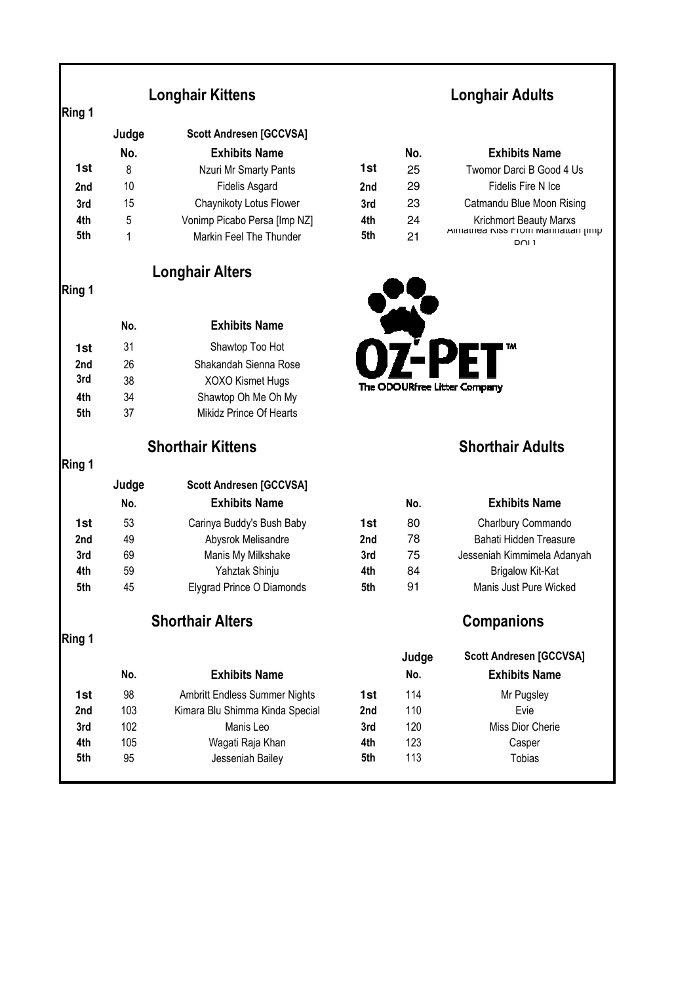|  |  | Longhair Kittens |  |
|--|--|------------------|--|
|--|--|------------------|--|

| Ring 1          |       |                                |     |     |                                                     |
|-----------------|-------|--------------------------------|-----|-----|-----------------------------------------------------|
|                 | Judge | <b>Scott Andresen [GCCVSA]</b> |     |     |                                                     |
|                 | No.   | <b>Exhibits Name</b>           |     | No. | <b>Exhibits Name</b>                                |
| 1st             | 8     | Nzuri Mr Smarty Pants          | 1st | 25  | Twomor Darci B Good 4 Us                            |
| 2nd             | 10    | <b>Fidelis Asgard</b>          | 2nd | 29  | Fidelis Fire N Ice                                  |
| 3rd             | 15    | Chaynikoty Lotus Flower        | 3rd | 23  | Catmandu Blue Moon Rising                           |
| 4th             | 5     | Vonimp Picabo Persa [Imp NZ]   | 4th | 24  | Krichmort Beauty Marxs                              |
| 5th             | 1     | Markin Feel The Thunder        | 5th | 21  | Allilatilea NISS FTOITI Mahhattan jimp<br>$D$ $N$ 1 |
|                 |       | <b>Longhair Alters</b>         |     |     |                                                     |
| Ring 1          |       |                                |     |     |                                                     |
|                 | No.   | <b>Exhibits Name</b>           |     |     |                                                     |
| 1st             | 31    | Shawtop Too Hot                |     |     | TМ                                                  |
| 2 <sub>nd</sub> | 26    | Shakandah Sienna Rose          |     |     |                                                     |
| 3rd             | 38    | XOXO Kismet Hugs               |     |     | The ODOURfree Litter Company                        |
| 4th             | 34    | Shawtop Oh Me Oh My            |     |     |                                                     |
| 5th             | 37    | Mikidz Prince Of Hearts        |     |     |                                                     |
|                 |       | <b>Shorthair Kittens</b>       |     |     | <b>Shorthair Adults</b>                             |
| Ring 1          |       |                                |     |     |                                                     |
|                 | Judge | <b>Scott Andresen [GCCVSA]</b> |     |     |                                                     |
|                 | No.   | <b>Exhibits Name</b>           |     | No. | <b>Exhibits Name</b>                                |

## **Longhair Adults**

| No. | <b>Exhibits Name</b>         |                 | No. | <b>Exhibits Name</b>                                          |
|-----|------------------------------|-----------------|-----|---------------------------------------------------------------|
| - 8 | Nzuri Mr Smarty Pants        | 1st             | 25  | Twomor Darci B Good 4 Us                                      |
| 10  | Fidelis Asgard               | 2 <sub>nd</sub> | 29  | Fidelis Fire N Ice                                            |
| 15  | Chaynikoty Lotus Flower      | 3rd             | 23  | Catmandu Blue Moon Rising                                     |
| 5   | Vonimp Picabo Persa [Imp NZ] | 4th             | 24  | <b>Krichmort Beauty Marxs</b>                                 |
|     | Markin Feel The Thunder      | 5th             | 21  | Allilatilea NISS FTOHT Mahhattan (IIIII)<br>D <sub>OL</sub> 1 |



### **Shorthair Adults**

|     | No. | <b>Exhibits Name</b>      |                 | No. | <b>Exhibits Name</b>        |
|-----|-----|---------------------------|-----------------|-----|-----------------------------|
| 1st | 53  | Carinya Buddy's Bush Baby | 1st             | 80  | Charlbury Commando          |
| 2nd | 49  | Abysrok Melisandre        | 2 <sub>nd</sub> | 78  | Bahati Hidden Treasure      |
| 3rd | 69  | Manis My Milkshake        | 3rd             | 75  | Jesseniah Kimmimela Adanyah |
| 4th | 59  | Yahztak Shinju            | 4th             | 84  | <b>Brigalow Kit-Kat</b>     |
| 5th | 45  | Elygrad Prince O Diamonds | 5th             | 91  | Manis Just Pure Wicked      |

### **Shorthair Alters Companions**

|                 |     |                                 |     | Judge | <b>Scott Andresen [GCCVSA]</b> |
|-----------------|-----|---------------------------------|-----|-------|--------------------------------|
|                 | No. | <b>Exhibits Name</b>            |     | No.   | <b>Exhibits Name</b>           |
| 1st             | 98  | Ambritt Endless Summer Nights   | 1st | 114   | Mr Pugsley                     |
| 2 <sub>nd</sub> | 103 | Kimara Blu Shimma Kinda Special | 2nd | 110   | Evie                           |
| 3rd             | 102 | Manis Leo                       | 3rd | 120   | Miss Dior Cherie               |
| 4th             | 105 | Wagati Raja Khan                | 4th | 123   | Casper                         |
| 5th             | 95  | Jesseniah Bailey                | 5th | 113   | <b>Tobias</b>                  |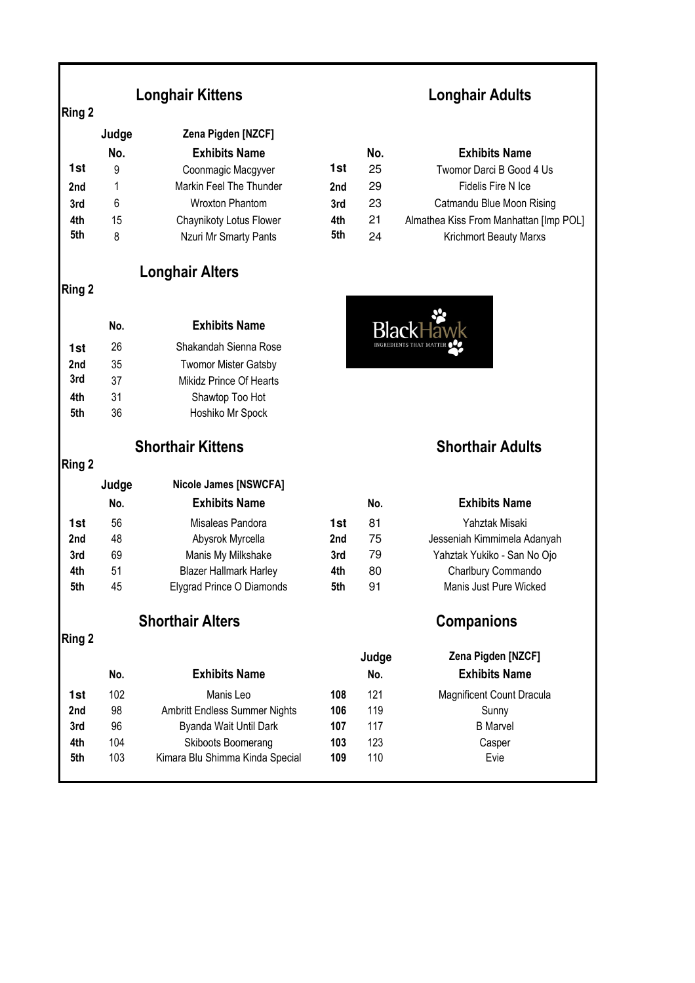## **Longhair Kittens**

|                 | Judge | Zena Pigden [NZCF]      |     |     |                                  |
|-----------------|-------|-------------------------|-----|-----|----------------------------------|
|                 | No.   | <b>Exhibits Name</b>    |     | No. | <b>Exhibits Name</b>             |
| 1st             | 9     | Coonmagic Macgyver      | 1st | 25  | Twomor Darci B Good 4 Us         |
| 2 <sub>nd</sub> |       | Markin Feel The Thunder | 2nd | 29  | Fidelis Fire N Ice               |
| 3rd             | 6     | Wroxton Phantom         | 3rd | 23  | Catmandu Blue Moon Rising        |
| 4th             | 15    | Chaynikoty Lotus Flower | 4th | 21  | Almathea Kiss From Manhattan [Im |
| 5th             | 8     | Nzuri Mr Smarty Pants   | 5th | 24  | <b>Krichmort Beauty Marxs</b>    |

**Longhair Alters**

### **Ring 2**

**Ring 2** 

|                 | No. | <b>Exhibits Name</b>        |
|-----------------|-----|-----------------------------|
| 1st             | 26  | Shakandah Sienna Rose       |
| 2 <sub>nd</sub> | 35  | <b>Twomor Mister Gatsby</b> |
| 3rd             | 37  | Mikidz Prince Of Hearts     |
| 4th             | 31  | Shawtop Too Hot             |
| 5th             | 36  | Hoshiko Mr Spock            |
|                 |     |                             |

| ar - |  |
|------|--|
|      |  |

|     | Judge | <b>Nicole James [NSWCFA]</b>  |     |     |                             |
|-----|-------|-------------------------------|-----|-----|-----------------------------|
|     | No.   | <b>Exhibits Name</b>          |     | No. | <b>Exhibits Name</b>        |
| 1st | 56    | Misaleas Pandora              | 1st | 81  | Yahztak Misaki              |
| 2nd | 48    | Abysrok Myrcella              | 2nd | 75  | Jesseniah Kimmimela Adanyah |
| 3rd | 69    | Manis My Milkshake            | 3rd | 79  | Yahztak Yukiko - San No Ojo |
| 4th | 51    | <b>Blazer Hallmark Harley</b> | 4th | 80  | Charlbury Commando          |
| 5th | 45    | Elygrad Prince O Diamonds     | 5th | 91  | Manis Just Pure Wicked      |
|     |       |                               |     |     |                             |

## **Shorthair Alters Companions**

**Ring 2** 

|                 |     |                                 |     | Judge | Zena Pigden [NZCF]               |
|-----------------|-----|---------------------------------|-----|-------|----------------------------------|
|                 | No. | <b>Exhibits Name</b>            |     | No.   | <b>Exhibits Name</b>             |
| 1st             | 102 | Manis Leo                       | 108 | 121   | <b>Magnificent Count Dracula</b> |
| 2 <sub>nd</sub> | 98  | Ambritt Endless Summer Nights   | 106 | 119   | Sunny                            |
| 3rd             | 96  | Byanda Wait Until Dark          | 107 | 117   | <b>B</b> Marvel                  |
| 4th             | 104 | Skiboots Boomerang              | 103 | 123   | Casper                           |
| 5th             | 103 | Kimara Blu Shimma Kinda Special | 109 | 110   | Evie                             |
|                 |     |                                 |     |       |                                  |

# **Longhair Adults**

|     | No. | <b>Exhibits Name</b>    |     | No. | <b>Exhibits Name</b>                   |
|-----|-----|-------------------------|-----|-----|----------------------------------------|
| 1st | 9   | Coonmagic Macgyver      | 1st | 25  | Twomor Darci B Good 4 Us               |
| 2nd |     | Markin Feel The Thunder | 2nd | 29  | Fidelis Fire N Ice                     |
| 3rd | 6   | Wroxton Phantom         | 3rd | 23  | Catmandu Blue Moon Rising              |
| 4th | 15  | Chaynikoty Lotus Flower | 4th | 21  | Almathea Kiss From Manhattan [Imp POL] |
| 5th |     | Nzuri Mr Smarty Pants   | 5th | 24  | <b>Krichmort Beauty Marxs</b>          |



### **Shorthair Kittens Shorthair Adults**

| Jesseniah Kimmimela Adanyah |
|-----------------------------|
| Yahztak Yukiko - San No Ojo |
|                             |
|                             |
|                             |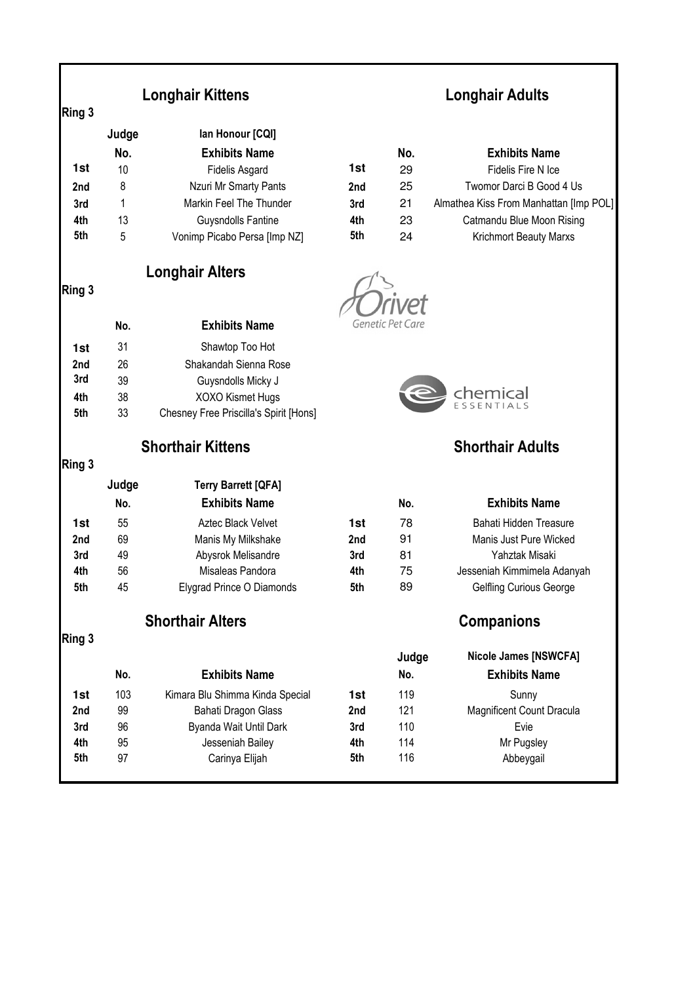| Ring 3     |          | <b>Longhair Kittens</b>                |            | <b>Longhair Adults</b> |                                        |  |
|------------|----------|----------------------------------------|------------|------------------------|----------------------------------------|--|
|            | Judge    | lan Honour [CQI]                       |            |                        |                                        |  |
|            | No.      | <b>Exhibits Name</b>                   |            | No.                    | <b>Exhibits Name</b>                   |  |
| 1st        | 10       | <b>Fidelis Asgard</b>                  | 1st        | 29                     | Fidelis Fire N Ice                     |  |
| 2nd        | 8        | Nzuri Mr Smarty Pants                  | 2nd        | 25                     | Twomor Darci B Good 4 Us               |  |
| 3rd        | 1        | Markin Feel The Thunder                | 3rd        | 21                     | Almathea Kiss From Manhattan [Imp POL] |  |
| 4th        | 13       | <b>Guysndolls Fantine</b>              | 4th        | 23                     | Catmandu Blue Moon Rising              |  |
| 5th        | 5        | Vonimp Picabo Persa [Imp NZ]           | 5th        | 24                     | Krichmort Beauty Marxs                 |  |
|            |          | <b>Longhair Alters</b>                 |            |                        |                                        |  |
| Ring 3     |          |                                        |            |                        |                                        |  |
|            | No.      | <b>Exhibits Name</b>                   |            | Genetic Pet Care       |                                        |  |
| 1st        | 31       | Shawtop Too Hot                        |            |                        |                                        |  |
| 2nd        | 26       | Shakandah Sienna Rose                  |            |                        |                                        |  |
| 3rd        | 39       | Guysndolls Micky J                     |            |                        |                                        |  |
| 4th        | 38       | XOXO Kismet Hugs                       |            |                        | chemical                               |  |
| 5th        | 33       | Chesney Free Priscilla's Spirit [Hons] |            |                        |                                        |  |
| Ring 3     |          | <b>Shorthair Kittens</b>               |            |                        | <b>Shorthair Adults</b>                |  |
|            | Judge    | <b>Terry Barrett [QFA]</b>             |            |                        |                                        |  |
|            | No.      | <b>Exhibits Name</b>                   |            | No.                    | <b>Exhibits Name</b>                   |  |
| 1st        | 55       | Aztec Black Velvet                     | 1st        | 78                     | Bahati Hidden Treasure                 |  |
| 2nd        | 69       | Manis My Milkshake                     | 2nd        | 91                     | Manis Just Pure Wicked                 |  |
| 3rd        | 49       | Abysrok Melisandre                     | 3rd        | 81                     | Yahztak Misaki                         |  |
| 4th        | 56       | Misaleas Pandora                       | 4th        | 75                     | Jesseniah Kimmimela Adanyah            |  |
| 5th        | 45       | Elygrad Prince O Diamonds              | 5th        | 89                     | Gelfling Curious George                |  |
|            |          | <b>Shorthair Alters</b>                |            |                        | <b>Companions</b>                      |  |
| Ring 3     |          |                                        |            | Judge                  | <b>Nicole James [NSWCFA]</b>           |  |
|            | No.      | <b>Exhibits Name</b>                   |            | No.                    | <b>Exhibits Name</b>                   |  |
| 1st        | 103      | Kimara Blu Shimma Kinda Special        | 1st        | 119                    | Sunny                                  |  |
| 2nd        | 99       | <b>Bahati Dragon Glass</b>             | 2nd        | 121                    | <b>Magnificent Count Dracula</b>       |  |
| 3rd        | 96       | Byanda Wait Until Dark                 | 3rd        | 110                    | Evie                                   |  |
| 4th<br>5th | 95<br>97 | Jesseniah Bailey<br>Carinya Elijah     | 4th<br>5th | 114<br>116             | Mr Pugsley                             |  |
|            |          |                                        |            |                        | Abbeygail                              |  |